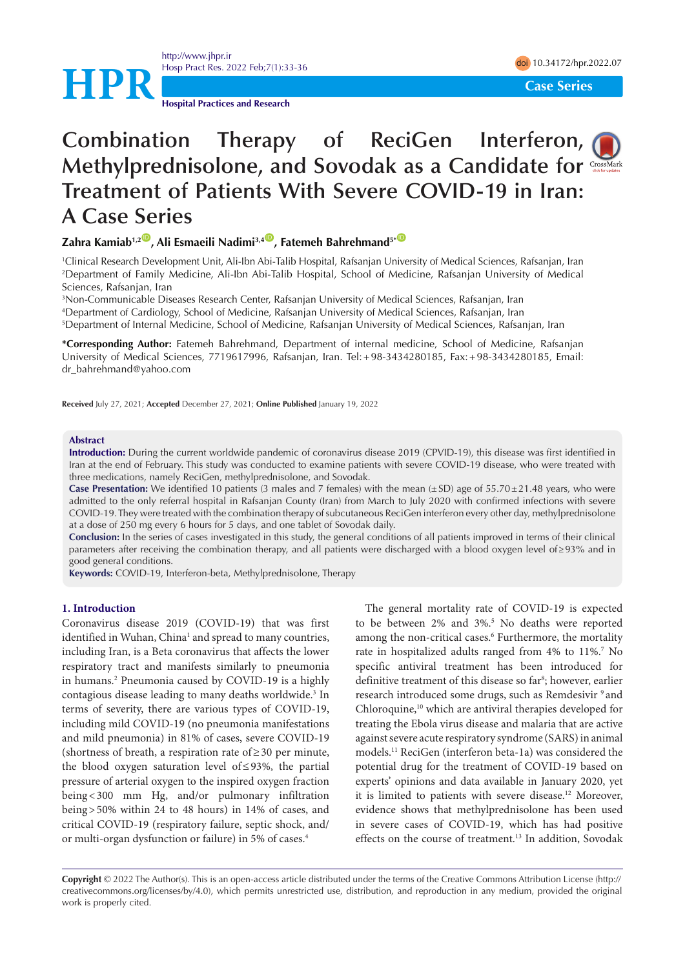<http://www.jhpr.ir> Hosp Pract Res. 2022 Feb;7(1):33-36 doi [10.34172/hpr.2022.07](https://doi.org/10.34172/hpr.2022.07)



**Hospital Practices and Research**

# **Combination Therapy of ReciGen Interferon, Methylprednisolone, and Sovodak as a Candidate for Treatment of Patients With Severe COVID-19 in Iran: A Case Series**

# **Zahra Kamiab<sup>1,2</sup><sup>(D</sup>, Ali Esmaeili Nadimi<sup>3,4</sup><sup>(D</sup>, Fatemeh Bahrehmand<sup>5+</sub><sup>(D</sup>)**</sup>

1 Clinical Research Development Unit, Ali-Ibn Abi-Talib Hospital, Rafsanjan University of Medical Sciences, Rafsanjan, Iran 2 Department of Family Medicine, Ali-Ibn Abi-Talib Hospital, School of Medicine, Rafsanjan University of Medical Sciences, Rafsanjan, Iran

3 Non-Communicable Diseases Research Center, Rafsanjan University of Medical Sciences, Rafsanjan, Iran 4 Department of Cardiology, School of Medicine, Rafsanjan University of Medical Sciences, Rafsanjan, Iran 5 Department of Internal Medicine, School of Medicine, Rafsanjan University of Medical Sciences, Rafsanjan, Iran

**\*Corresponding Author:** Fatemeh Bahrehmand, Department of internal medicine, School of Medicine, Rafsanjan University of Medical Sciences, 7719617996, Rafsanjan, Iran. Tel:+98-3434280185, Fax:+98-3434280185, Email: dr\_bahrehmand@yahoo.com

**Received** July 27, 2021; **Accepted** December 27, 2021; **Online Published** January 19, 2022

#### **Abstract**

**Introduction:** During the current worldwide pandemic of coronavirus disease 2019 (CPVID-19), this disease was first identified in Iran at the end of February. This study was conducted to examine patients with severe COVID-19 disease, who were treated with three medications, namely ReciGen, methylprednisolone, and Sovodak.

**Case Presentation:** We identified 10 patients (3 males and 7 females) with the mean  $(\pm SD)$  age of  $55.70\pm21.48$  years, who were admitted to the only referral hospital in Rafsanjan County (Iran) from March to July 2020 with confirmed infections with severe COVID-19. They were treated with the combination therapy of subcutaneous ReciGen interferon every other day, methylprednisolone at a dose of 250 mg every 6 hours for 5 days, and one tablet of Sovodak daily.

**Conclusion:** In the series of cases investigated in this study, the general conditions of all patients improved in terms of their clinical parameters after receiving the combination therapy, and all patients were discharged with a blood oxygen level of≥93% and in good general conditions.

**Keywords:** COVID-19, Interferon-beta, Methylprednisolone, Therapy

#### **1. Introduction**

Coronavirus disease 2019 (COVID-19) that was first identified in Wuhan, China<sup>1</sup> and spread to many countries, including Iran, is a Beta coronavirus that affects the lower respiratory tract and manifests similarly to pneumonia in humans.2 Pneumonia caused by COVID-19 is a highly contagious disease leading to many deaths worldwide.<sup>3</sup> In terms of severity, there are various types of COVID-19, including mild COVID-19 (no pneumonia manifestations and mild pneumonia) in 81% of cases, severe COVID-19 (shortness of breath, a respiration rate of≥30 per minute, the blood oxygen saturation level of≤93%, the partial pressure of arterial oxygen to the inspired oxygen fraction being<300 mm Hg, and/or pulmonary infiltration being>50% within 24 to 48 hours) in 14% of cases, and critical COVID-19 (respiratory failure, septic shock, and/ or multi-organ dysfunction or failure) in 5% of cases.4

The general mortality rate of COVID-19 is expected to be between 2% and 3%.<sup>5</sup> No deaths were reported among the non-critical cases.<sup>6</sup> Furthermore, the mortality rate in hospitalized adults ranged from 4% to 11%.7 No specific antiviral treatment has been introduced for definitive treatment of this disease so far<sup>8</sup>; however, earlier research introduced some drugs, such as Remdesivir <sup>9</sup> and Chloroquine,10 which are antiviral therapies developed for treating the Ebola virus disease and malaria that are active against severe acute respiratory syndrome (SARS) in animal models.11 ReciGen (interferon beta-1a) was considered the potential drug for the treatment of COVID-19 based on experts' opinions and data available in January 2020, yet it is limited to patients with severe disease.<sup>12</sup> Moreover, evidence shows that methylprednisolone has been used in severe cases of COVID-19, which has had positive effects on the course of treatment.<sup>13</sup> In addition, Sovodak



**Copyright** © 2022 The Author(s). This is an open-access article distributed under the terms of the Creative Commons Attribution License (http:// creativecommons.org/licenses/by/4.0), which permits unrestricted use, distribution, and reproduction in any medium, provided the original work is properly cited.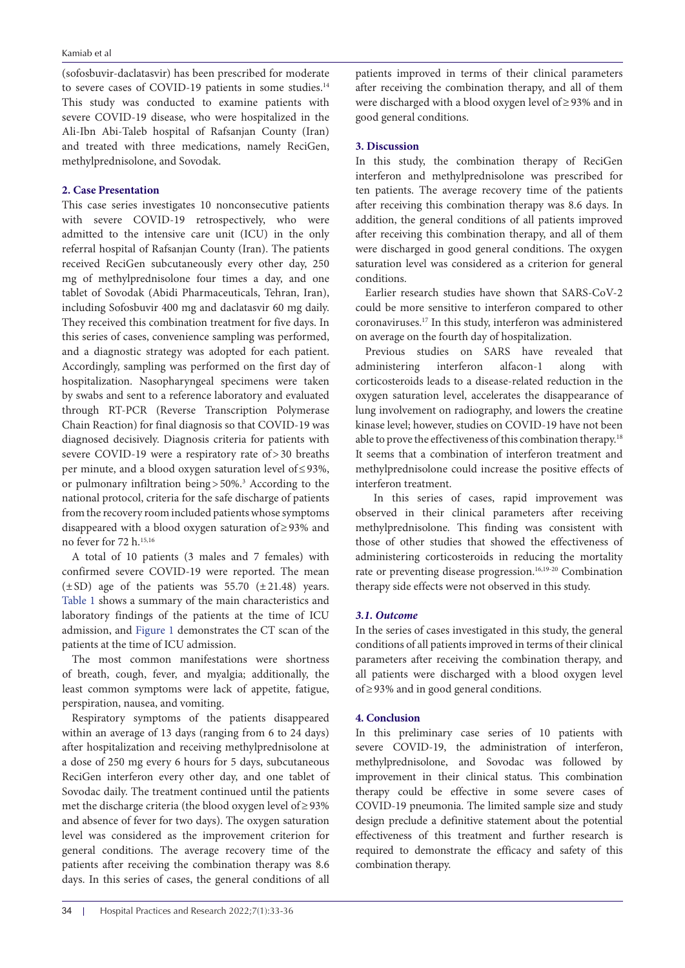#### Kamiab et al

(sofosbuvir-daclatasvir) has been prescribed for moderate to severe cases of COVID-19 patients in some studies.<sup>14</sup> This study was conducted to examine patients with severe COVID-19 disease, who were hospitalized in the Ali-Ibn Abi-Taleb hospital of Rafsanjan County (Iran) and treated with three medications, namely ReciGen, methylprednisolone, and Sovodak.

## **2. Case Presentation**

This case series investigates 10 nonconsecutive patients with severe COVID-19 retrospectively, who were admitted to the intensive care unit (ICU) in the only referral hospital of Rafsanjan County (Iran). The patients received ReciGen subcutaneously every other day, 250 mg of methylprednisolone four times a day, and one tablet of Sovodak (Abidi Pharmaceuticals, Tehran, Iran), including Sofosbuvir 400 mg and daclatasvir 60 mg daily. They received this combination treatment for five days. In this series of cases, convenience sampling was performed, and a diagnostic strategy was adopted for each patient. Accordingly, sampling was performed on the first day of hospitalization. Nasopharyngeal specimens were taken by swabs and sent to a reference laboratory and evaluated through RT-PCR (Reverse Transcription Polymerase Chain Reaction) for final diagnosis so that COVID-19 was diagnosed decisively. Diagnosis criteria for patients with severe COVID-19 were a respiratory rate of>30 breaths per minute, and a blood oxygen saturation level of≤93%, or pulmonary infiltration being > 50%.<sup>3</sup> According to the national protocol, criteria for the safe discharge of patients from the recovery room included patients whose symptoms disappeared with a blood oxygen saturation of≥93% and no fever for 72 h.<sup>15,16</sup>

A total of 10 patients (3 males and 7 females) with confirmed severe COVID-19 were reported. The mean  $(\pm SD)$  age of the patients was 55.70  $(\pm 21.48)$  years. [Table 1](#page-2-0) shows a summary of the main characteristics and laboratory findings of the patients at the time of ICU admission, and [Figure 1](#page-3-0) demonstrates the CT scan of the patients at the time of ICU admission.

The most common manifestations were shortness of breath, cough, fever, and myalgia; additionally, the least common symptoms were lack of appetite, fatigue, perspiration, nausea, and vomiting.

Respiratory symptoms of the patients disappeared within an average of 13 days (ranging from 6 to 24 days) after hospitalization and receiving methylprednisolone at a dose of 250 mg every 6 hours for 5 days, subcutaneous ReciGen interferon every other day, and one tablet of Sovodac daily. The treatment continued until the patients met the discharge criteria (the blood oxygen level of≥93% and absence of fever for two days). The oxygen saturation level was considered as the improvement criterion for general conditions. The average recovery time of the patients after receiving the combination therapy was 8.6 days. In this series of cases, the general conditions of all

patients improved in terms of their clinical parameters after receiving the combination therapy, and all of them were discharged with a blood oxygen level of≥93% and in good general conditions.

# **3. Discussion**

In this study, the combination therapy of ReciGen interferon and methylprednisolone was prescribed for ten patients. The average recovery time of the patients after receiving this combination therapy was 8.6 days. In addition, the general conditions of all patients improved after receiving this combination therapy, and all of them were discharged in good general conditions. The oxygen saturation level was considered as a criterion for general conditions.

Earlier research studies have shown that SARS-CoV-2 could be more sensitive to interferon compared to other coronaviruses.17 In this study, interferon was administered on average on the fourth day of hospitalization.

Previous studies on SARS have revealed that administering interferon alfacon-1 along with corticosteroids leads to a disease-related reduction in the oxygen saturation level, accelerates the disappearance of lung involvement on radiography, and lowers the creatine kinase level; however, studies on COVID-19 have not been able to prove the effectiveness of this combination therapy.<sup>18</sup> It seems that a combination of interferon treatment and methylprednisolone could increase the positive effects of interferon treatment.

 In this series of cases, rapid improvement was observed in their clinical parameters after receiving methylprednisolone. This finding was consistent with those of other studies that showed the effectiveness of administering corticosteroids in reducing the mortality rate or preventing disease progression.<sup>16,19-20</sup> Combination therapy side effects were not observed in this study.

## *3.1. Outcome*

In the series of cases investigated in this study, the general conditions of all patients improved in terms of their clinical parameters after receiving the combination therapy, and all patients were discharged with a blood oxygen level of≥93% and in good general conditions.

#### **4. Conclusion**

In this preliminary case series of 10 patients with severe COVID-19, the administration of interferon, methylprednisolone, and Sovodac was followed by improvement in their clinical status. This combination therapy could be effective in some severe cases of COVID-19 pneumonia. The limited sample size and study design preclude a definitive statement about the potential effectiveness of this treatment and further research is required to demonstrate the efficacy and safety of this combination therapy.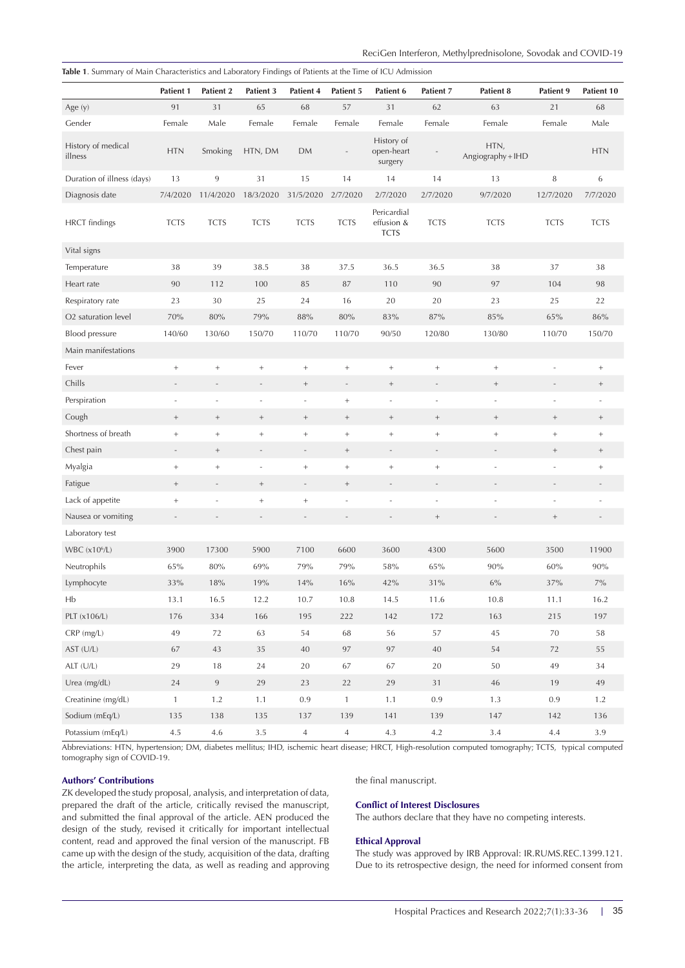|                               | Patient 1                | Patient 2      | Patient 3         | Patient 4                | Patient 5                | Patient 6                                | Patient 7                | Patient 8                 | Patient 9       | Patient 10  |
|-------------------------------|--------------------------|----------------|-------------------|--------------------------|--------------------------|------------------------------------------|--------------------------|---------------------------|-----------------|-------------|
| Age $(y)$                     | 91                       | 31             | 65                | 68                       | 57                       | 31                                       | 62                       | 63                        | 21              | 68          |
| Gender                        | Female                   | Male           | Female            | Female                   | Female                   | Female                                   | Female                   | Female                    | Female          | Male        |
| History of medical<br>illness | <b>HTN</b>               | Smoking        | HTN, DM           | <b>DM</b>                |                          | History of<br>open-heart<br>surgery      |                          | HTN,<br>Angiography + IHD |                 | <b>HTN</b>  |
| Duration of illness (days)    | 13                       | 9              | 31                | 15                       | 14                       | 14                                       | 14                       | 13                        | 8               | 6           |
| Diagnosis date                | 7/4/2020                 | 11/4/2020      | 18/3/2020         | 31/5/2020                | 2/7/2020                 | 2/7/2020                                 | 2/7/2020                 | 9/7/2020                  | 12/7/2020       | 7/7/2020    |
| <b>HRCT</b> findings          | <b>TCTS</b>              | <b>TCTS</b>    | <b>TCTS</b>       | <b>TCTS</b>              | <b>TCTS</b>              | Pericardial<br>effusion &<br><b>TCTS</b> | <b>TCTS</b>              | <b>TCTS</b>               | <b>TCTS</b>     | <b>TCTS</b> |
| Vital signs                   |                          |                |                   |                          |                          |                                          |                          |                           |                 |             |
| Temperature                   | 38                       | 39             | 38.5              | 38                       | 37.5                     | 36.5                                     | 36.5                     | 38                        | 37              | 38          |
| Heart rate                    | 90                       | 112            | 100               | 85                       | 87                       | 110                                      | 90                       | 97                        | 104             | 98          |
| Respiratory rate              | 23                       | 30             | 25                | 24                       | 16                       | 20                                       | 20                       | 23                        | 25              | 22          |
| O2 saturation level           | 70%                      | 80%            | 79%               | 88%                      | 80%                      | 83%                                      | 87%                      | 85%                       | 65%             | 86%         |
| Blood pressure                | 140/60                   | 130/60         | 150/70            | 110/70                   | 110/70                   | 90/50                                    | 120/80                   | 130/80                    | 110/70          | 150/70      |
| Main manifestations           |                          |                |                   |                          |                          |                                          |                          |                           |                 |             |
| Fever                         | $^+$                     | $^+$           | $+$               | $^+$                     | $^+$                     | $\,$ + $\,$                              | $^+$                     | $^+$                      |                 | $^+$        |
| Chills                        |                          |                |                   | $^+$                     | $\overline{\phantom{a}}$ | $^+$                                     | $\overline{\phantom{a}}$ | $^+$                      |                 | $^+$        |
| Perspiration                  |                          | ÷,             | ÷,                | ÷,                       | $^+$                     | ÷,                                       | $\sim$                   | ÷,                        |                 |             |
| Cough                         | $^+ \,$                  | $^+$           |                   | $^+$                     | $^+$                     | $^+$                                     | $^+$                     | $^+$                      | $^+$            | $^+$        |
| Shortness of breath           | $\! + \!$                |                |                   | $^+$                     | $^+$                     | $\! + \!$                                | $^+$                     |                           | $\! + \!\!\!\!$ | $^+$        |
| Chest pain                    | $\overline{\phantom{a}}$ | $^+$           | $\qquad \qquad -$ | $\overline{\phantom{a}}$ | $\! + \!\!\!\!$          | $\overline{\phantom{a}}$                 | $\overline{\phantom{a}}$ |                           | $^+$            | $^+$        |
| Myalgia                       |                          | $^+$           | ÷,                | $\! + \!\!\!\!$          | $^+$                     | $^+$                                     | $^+$                     |                           |                 | $^+$        |
| Fatigue                       | $^+$                     |                |                   |                          | $^+$                     |                                          |                          |                           |                 |             |
| Lack of appetite              |                          | ÷,             |                   | $^+$                     |                          | ł,                                       | $\sim$                   |                           | ÷,              |             |
| Nausea or vomiting            |                          |                |                   |                          |                          |                                          | $^+$                     |                           | $^+ \,$         |             |
| Laboratory test               |                          |                |                   |                          |                          |                                          |                          |                           |                 |             |
| WBC $(x106/L)$                | 3900                     | 17300          | 5900              | 7100                     | 6600                     | 3600                                     | 4300                     | 5600                      | 3500            | 11900       |
| Neutrophils                   | 65%                      | 80%            | 69%               | 79%                      | 79%                      | 58%                                      | 65%                      | 90%                       | 60%             | 90%         |
| Lymphocyte                    | 33%                      | 18%            | 19%               | 14%                      | 16%                      | 42%                                      | 31%                      | 6%                        | 37%             | 7%          |
| Hb                            | 13.1                     | 16.5           | 12.2              | 10.7                     | 10.8                     | 14.5                                     | 11.6                     | 10.8                      | 11.1            | 16.2        |
| PLT (x106/L)                  | 176                      | 334            | 166               | 195                      | 222                      | 142                                      | 172                      | 163                       | 215             | 197         |
| $CRP$ (mg/L)                  | 49                       | 72             | 63                | 54                       | 68                       | 56                                       | 57                       | $45\,$                    | 70              | 58          |
| AST (U/L)                     | 67                       | 43             | 35                | 40                       | 97                       | 97                                       | $40\,$                   | 54                        | $72\,$          | 55          |
| ALT (U/L)                     | 29                       | 18             | 24                | $20\,$                   | 67                       | 67                                       | $20\,$                   | 50                        | 49              | 34          |
| Urea (mg/dL)                  | 24                       | $\overline{9}$ | 29                | 23                       | 22                       | 29                                       | 31                       | $46\,$                    | 19              | 49          |
| Creatinine (mg/dL)            | $\mathbf{1}$             | 1.2            | 1.1               | $0.9\,$                  | $\mathbf{1}$             | 1.1                                      | $0.9\,$                  | 1.3                       | $0.9\,$         | 1.2         |
| Sodium (mEq/L)                | 135                      | 138            | 135               | 137                      | 139                      | 141                                      | 139                      | 147                       | 142             | 136         |
| Potassium (mEq/L)             | 4.5                      | 4.6            | $3.5\,$           | $\overline{4}$           | $\overline{4}$           | 4.3                                      | 4.2                      | $3.4\,$                   | $4.4\,$         | $3.9\,$     |

<span id="page-2-0"></span>**Table 1**. Summary of Main Characteristics and Laboratory Findings of Patients at the Time of ICU Admission

Abbreviations: HTN, hypertension; DM, diabetes mellitus; IHD, ischemic heart disease; HRCT, High-resolution computed tomography; TCTS, typical computed tomography sign of COVID-19.

# **Authors' Contributions**

ZK developed the study proposal, analysis, and interpretation of data, prepared the draft of the article, critically revised the manuscript, and submitted the final approval of the article. AEN produced the design of the study, revised it critically for important intellectual content, read and approved the final version of the manuscript. FB came up with the design of the study, acquisition of the data, drafting the article, interpreting the data, as well as reading and approving the final manuscript.

#### **Conflict of Interest Disclosures**

The authors declare that they have no competing interests.

#### **Ethical Approval**

The study was approved by IRB Approval: IR.RUMS.REC.1399.121. Due to its retrospective design, the need for informed consent from